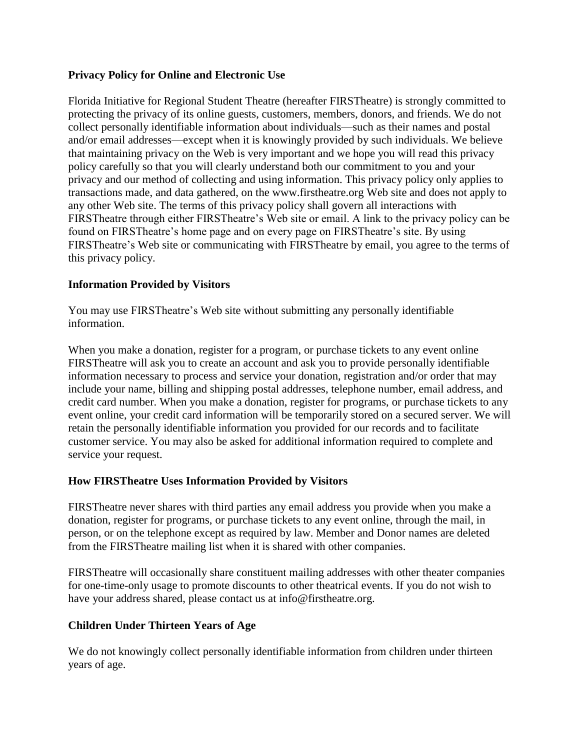## **Privacy Policy for Online and Electronic Use**

Florida Initiative for Regional Student Theatre (hereafter FIRSTheatre) is strongly committed to protecting the privacy of its online guests, customers, members, donors, and friends. We do not collect personally identifiable information about individuals—such as their names and postal and/or email addresses—except when it is knowingly provided by such individuals. We believe that maintaining privacy on the Web is very important and we hope you will read this privacy policy carefully so that you will clearly understand both our commitment to you and your privacy and our method of collecting and using information. This privacy policy only applies to transactions made, and data gathered, on the www.firstheatre.org Web site and does not apply to any other Web site. The terms of this privacy policy shall govern all interactions with FIRSTheatre through either FIRSTheatre's Web site or email. A link to the privacy policy can be found on FIRSTheatre's home page and on every page on FIRSTheatre's site. By using FIRSTheatre's Web site or communicating with FIRSTheatre by email, you agree to the terms of this privacy policy.

## **Information Provided by Visitors**

You may use FIRSTheatre's Web site without submitting any personally identifiable information.

When you make a donation, register for a program, or purchase tickets to any event online FIRSTheatre will ask you to create an account and ask you to provide personally identifiable information necessary to process and service your donation, registration and/or order that may include your name, billing and shipping postal addresses, telephone number, email address, and credit card number. When you make a donation, register for programs, or purchase tickets to any event online, your credit card information will be temporarily stored on a secured server. We will retain the personally identifiable information you provided for our records and to facilitate customer service. You may also be asked for additional information required to complete and service your request.

#### **How FIRSTheatre Uses Information Provided by Visitors**

FIRSTheatre never shares with third parties any email address you provide when you make a donation, register for programs, or purchase tickets to any event online, through the mail, in person, or on the telephone except as required by law. Member and Donor names are deleted from the FIRSTheatre mailing list when it is shared with other companies.

FIRSTheatre will occasionally share constituent mailing addresses with other theater companies for one-time-only usage to promote discounts to other theatrical events. If you do not wish to have your address shared, please contact us at info@firstheatre.org.

## **Children Under Thirteen Years of Age**

We do not knowingly collect personally identifiable information from children under thirteen years of age.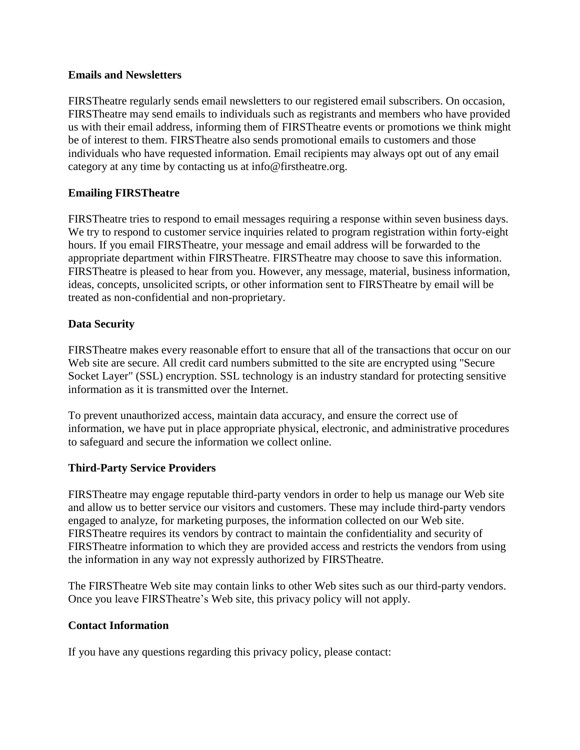#### **Emails and Newsletters**

FIRSTheatre regularly sends email newsletters to our registered email subscribers. On occasion, FIRSTheatre may send emails to individuals such as registrants and members who have provided us with their email address, informing them of FIRSTheatre events or promotions we think might be of interest to them. FIRSTheatre also sends promotional emails to customers and those individuals who have requested information. Email recipients may always opt out of any email category at any time by contacting us at info@firstheatre.org.

## **Emailing FIRSTheatre**

FIRSTheatre tries to respond to email messages requiring a response within seven business days. We try to respond to customer service inquiries related to program registration within forty-eight hours. If you email FIRSTheatre, your message and email address will be forwarded to the appropriate department within FIRSTheatre. FIRSTheatre may choose to save this information. FIRSTheatre is pleased to hear from you. However, any message, material, business information, ideas, concepts, unsolicited scripts, or other information sent to FIRSTheatre by email will be treated as non-confidential and non-proprietary.

## **Data Security**

FIRSTheatre makes every reasonable effort to ensure that all of the transactions that occur on our Web site are secure. All credit card numbers submitted to the site are encrypted using "Secure" Socket Layer" (SSL) encryption. SSL technology is an industry standard for protecting sensitive information as it is transmitted over the Internet.

To prevent unauthorized access, maintain data accuracy, and ensure the correct use of information, we have put in place appropriate physical, electronic, and administrative procedures to safeguard and secure the information we collect online.

## **Third-Party Service Providers**

FIRSTheatre may engage reputable third-party vendors in order to help us manage our Web site and allow us to better service our visitors and customers. These may include third-party vendors engaged to analyze, for marketing purposes, the information collected on our Web site. FIRSTheatre requires its vendors by contract to maintain the confidentiality and security of FIRSTheatre information to which they are provided access and restricts the vendors from using the information in any way not expressly authorized by FIRSTheatre.

The FIRSTheatre Web site may contain links to other Web sites such as our third-party vendors. Once you leave FIRSTheatre's Web site, this privacy policy will not apply.

## **Contact Information**

If you have any questions regarding this privacy policy, please contact: